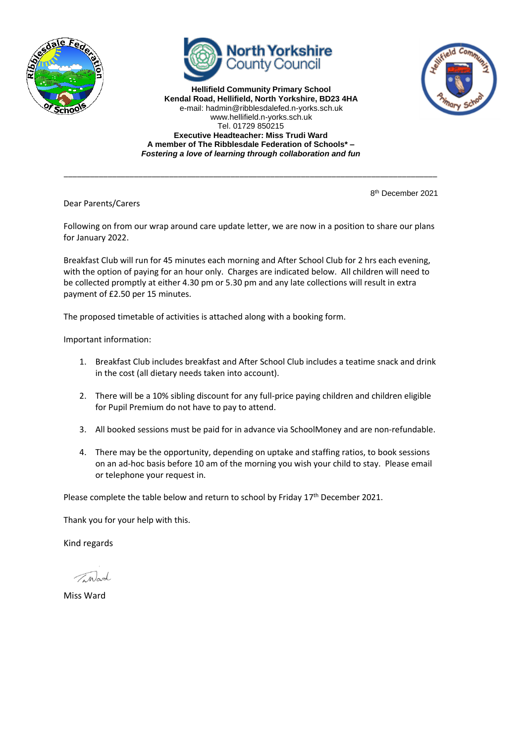



**Hellifield Community Primary School Kendal Road, Hellifield, North Yorkshire, BD23 4HA** e-mail: hadmin@ribblesdalefed.n-yorks.sch.uk www.hellifield.n-yorks.sch.uk Tel. 01729 850215 **Executive Headteacher: Miss Trudi Ward A member of The Ribblesdale Federation of Schools\* –** *Fostering a love of learning through collaboration and fun*



8 th December 2021

Dear Parents/Carers

Following on from our wrap around care update letter, we are now in a position to share our plans for January 2022.

\_\_\_\_\_\_\_\_\_\_\_\_\_\_\_\_\_\_\_\_\_\_\_\_\_\_\_\_\_\_\_\_\_\_\_\_\_\_\_\_\_\_\_\_\_\_\_\_\_\_\_\_\_\_\_\_\_\_\_\_\_\_\_\_\_\_\_\_\_\_\_\_\_\_\_\_\_\_\_\_\_\_\_\_\_

Breakfast Club will run for 45 minutes each morning and After School Club for 2 hrs each evening, with the option of paying for an hour only. Charges are indicated below. All children will need to be collected promptly at either 4.30 pm or 5.30 pm and any late collections will result in extra payment of £2.50 per 15 minutes.

The proposed timetable of activities is attached along with a booking form.

Important information:

- 1. Breakfast Club includes breakfast and After School Club includes a teatime snack and drink in the cost (all dietary needs taken into account).
- 2. There will be a 10% sibling discount for any full-price paying children and children eligible for Pupil Premium do not have to pay to attend.
- 3. All booked sessions must be paid for in advance via SchoolMoney and are non-refundable.
- 4. There may be the opportunity, depending on uptake and staffing ratios, to book sessions on an ad-hoc basis before 10 am of the morning you wish your child to stay. Please email or telephone your request in.

Please complete the table below and return to school by Friday  $17<sup>th</sup>$  December 2021.

Thank you for your help with this.

Kind regards

Tinad

Miss Ward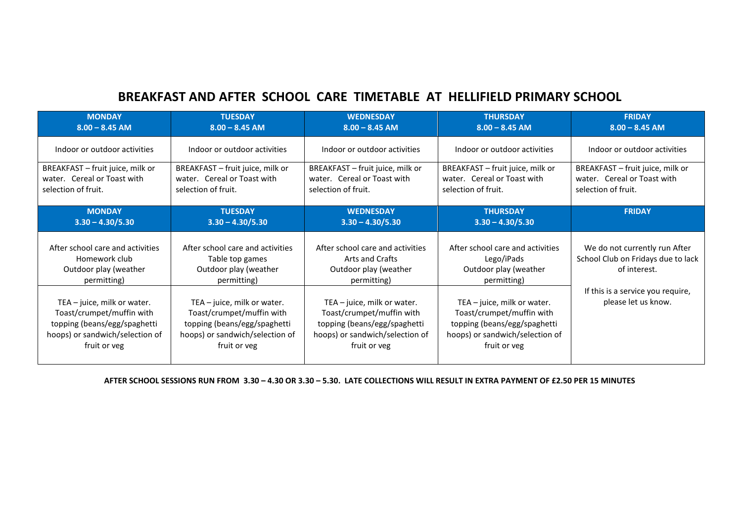## **BREAKFAST AND AFTER SCHOOL CARE TIMETABLE AT HELLIFIELD PRIMARY SCHOOL**

| <b>MONDAY</b>                                                                                                                                                                                                                            | <b>TUESDAY</b>                                                                                                                                                                                                                             | <b>WEDNESDAY</b>                                                                                                                                                                                                                           | <b>THURSDAY</b>                                                                                                                                                                                                                       | <b>FRIDAY</b>                                                                                                                                   |
|------------------------------------------------------------------------------------------------------------------------------------------------------------------------------------------------------------------------------------------|--------------------------------------------------------------------------------------------------------------------------------------------------------------------------------------------------------------------------------------------|--------------------------------------------------------------------------------------------------------------------------------------------------------------------------------------------------------------------------------------------|---------------------------------------------------------------------------------------------------------------------------------------------------------------------------------------------------------------------------------------|-------------------------------------------------------------------------------------------------------------------------------------------------|
| $8.00 - 8.45$ AM                                                                                                                                                                                                                         | $8.00 - 8.45$ AM                                                                                                                                                                                                                           | $8.00 - 8.45$ AM                                                                                                                                                                                                                           | $8.00 - 8.45$ AM                                                                                                                                                                                                                      | $8.00 - 8.45$ AM                                                                                                                                |
| Indoor or outdoor activities                                                                                                                                                                                                             | Indoor or outdoor activities                                                                                                                                                                                                               | Indoor or outdoor activities                                                                                                                                                                                                               | Indoor or outdoor activities                                                                                                                                                                                                          | Indoor or outdoor activities                                                                                                                    |
| BREAKFAST - fruit juice, milk or                                                                                                                                                                                                         | BREAKFAST - fruit juice, milk or                                                                                                                                                                                                           | BREAKFAST - fruit juice, milk or                                                                                                                                                                                                           | BREAKFAST - fruit juice, milk or                                                                                                                                                                                                      | BREAKFAST - fruit juice, milk or                                                                                                                |
| water. Cereal or Toast with                                                                                                                                                                                                              | water. Cereal or Toast with                                                                                                                                                                                                                | water. Cereal or Toast with                                                                                                                                                                                                                | water. Cereal or Toast with                                                                                                                                                                                                           | water. Cereal or Toast with                                                                                                                     |
| selection of fruit.                                                                                                                                                                                                                      | selection of fruit.                                                                                                                                                                                                                        | selection of fruit.                                                                                                                                                                                                                        | selection of fruit.                                                                                                                                                                                                                   | selection of fruit.                                                                                                                             |
| <b>MONDAY</b>                                                                                                                                                                                                                            | <b>TUESDAY</b>                                                                                                                                                                                                                             | <b>WEDNESDAY</b>                                                                                                                                                                                                                           | <b>THURSDAY</b>                                                                                                                                                                                                                       | <b>FRIDAY</b>                                                                                                                                   |
| $3.30 - 4.30/5.30$                                                                                                                                                                                                                       | $3.30 - 4.30/5.30$                                                                                                                                                                                                                         | $3.30 - 4.30 / 5.30$                                                                                                                                                                                                                       | $3.30 - 4.30/5.30$                                                                                                                                                                                                                    |                                                                                                                                                 |
| After school care and activities<br>Homework club<br>Outdoor play (weather<br>permitting)<br>TEA - juice, milk or water.<br>Toast/crumpet/muffin with<br>topping (beans/egg/spaghetti<br>hoops) or sandwich/selection of<br>fruit or veg | After school care and activities<br>Table top games<br>Outdoor play (weather<br>permitting)<br>TEA - juice, milk or water.<br>Toast/crumpet/muffin with<br>topping (beans/egg/spaghetti<br>hoops) or sandwich/selection of<br>fruit or veg | After school care and activities<br>Arts and Crafts<br>Outdoor play (weather<br>permitting)<br>TEA - juice, milk or water.<br>Toast/crumpet/muffin with<br>topping (beans/egg/spaghetti<br>hoops) or sandwich/selection of<br>fruit or veg | After school care and activities<br>Lego/iPads<br>Outdoor play (weather<br>permitting)<br>TEA - juice, milk or water.<br>Toast/crumpet/muffin with<br>topping (beans/egg/spaghetti<br>hoops) or sandwich/selection of<br>fruit or veg | We do not currently run After<br>School Club on Fridays due to lack<br>of interest.<br>If this is a service you require,<br>please let us know. |

**AFTER SCHOOL SESSIONS RUN FROM 3.30 – 4.30 OR 3.30 – 5.30. LATE COLLECTIONS WILL RESULT IN EXTRA PAYMENT OF £2.50 PER 15 MINUTES**